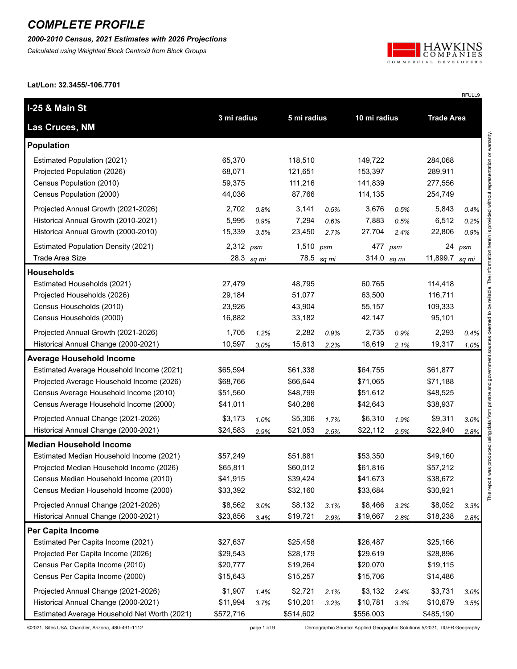*2000-2010 Census, 2021 Estimates with 2026 Projections*

*Calculated using Weighted Block Centroid from Block Groups*



RFULL9

**Lat/Lon: 32.3455/-106.7701**

| I-25 & Main St                               |             |            | 5 mi radius |            | 10 mi radius |      | <b>Trade Area</b> |      |
|----------------------------------------------|-------------|------------|-------------|------------|--------------|------|-------------------|------|
| <b>Las Cruces, NM</b>                        | 3 mi radius |            |             |            |              |      |                   |      |
| <b>Population</b>                            |             |            |             |            |              |      |                   |      |
| <b>Estimated Population (2021)</b>           | 65,370      |            | 118,510     |            | 149,722      |      | 284,068           |      |
| Projected Population (2026)                  | 68,071      |            | 121,651     |            | 153,397      |      | 289,911           |      |
| Census Population (2010)                     | 59,375      |            | 111,216     |            | 141,839      |      | 277,556           |      |
| Census Population (2000)                     | 44,036      |            | 87,766      |            | 114,135      |      | 254,749           |      |
| Projected Annual Growth (2021-2026)          | 2,702       | 0.8%       | 3,141       | 0.5%       | 3,676        | 0.5% | 5,843             | 0.4% |
| Historical Annual Growth (2010-2021)         | 5,995       | 0.9%       | 7,294       | 0.6%       | 7,883        | 0.5% | 6,512             | 0.2% |
| Historical Annual Growth (2000-2010)         | 15,339      | 3.5%       | 23,450      | 2.7%       | 27,704       | 2.4% | 22,806            | 0.9% |
| <b>Estimated Population Density (2021)</b>   | $2,312$ psm |            | 1,510 $psm$ |            | 477 psm      |      | 24                | psm  |
| <b>Trade Area Size</b>                       |             | 28.3 sq mi |             | 78.5 sq mi | 314.0 sq mi  |      | 11,899.7 sq mi    |      |
| <b>Households</b>                            |             |            |             |            |              |      |                   |      |
| Estimated Households (2021)                  | 27,479      |            | 48,795      |            | 60,765       |      | 114,418           |      |
| Projected Households (2026)                  | 29,184      |            | 51,077      |            | 63,500       |      | 116,711           |      |
| Census Households (2010)                     | 23,926      |            | 43,904      |            | 55,157       |      | 109,333           |      |
| Census Households (2000)                     | 16,882      |            | 33,182      |            | 42,147       |      | 95,101            |      |
| Projected Annual Growth (2021-2026)          | 1,705       | 1.2%       | 2,282       | 0.9%       | 2,735        | 0.9% | 2,293             | 0.4% |
| Historical Annual Change (2000-2021)         | 10,597      | 3.0%       | 15,613      | 2.2%       | 18,619       | 2.1% | 19,317            | 1.0% |
| <b>Average Household Income</b>              |             |            |             |            |              |      |                   |      |
| Estimated Average Household Income (2021)    | \$65,594    |            | \$61,338    |            | \$64,755     |      | \$61,877          |      |
| Projected Average Household Income (2026)    | \$68,766    |            | \$66,644    |            | \$71,065     |      | \$71,188          |      |
| Census Average Household Income (2010)       | \$51,560    |            | \$48,799    |            | \$51,612     |      | \$48,525          |      |
| Census Average Household Income (2000)       | \$41,011    |            | \$40,286    |            | \$42,643     |      | \$38,937          |      |
| Projected Annual Change (2021-2026)          | \$3,173     | 1.0%       | \$5,306     | 1.7%       | \$6,310      | 1.9% | \$9,311           | 3.0% |
| Historical Annual Change (2000-2021)         | \$24,583    | 2.9%       | \$21,053    | 2.5%       | \$22,112     | 2.5% | \$22,940          | 2.8% |
| <b>Median Household Income</b>               |             |            |             |            |              |      |                   |      |
| Estimated Median Household Income (2021)     | \$57,249    |            | \$51,881    |            | \$53,350     |      | \$49,160          |      |
| Projected Median Household Income (2026)     | \$65,811    |            | \$60,012    |            | \$61,816     |      | \$57,212          |      |
| Census Median Household Income (2010)        | \$41,915    |            | \$39,424    |            | \$41,673     |      | \$38,672          |      |
| Census Median Household Income (2000)        | \$33,392    |            | \$32,160    |            | \$33,684     |      | \$30,921          |      |
| Projected Annual Change (2021-2026)          | \$8,562     | 3.0%       | \$8,132     | 3.1%       | \$8,466      | 3.2% | \$8,052           | 3.3% |
| Historical Annual Change (2000-2021)         | \$23,856    | 3.4%       | \$19,721    | 2.9%       | \$19,667     | 2.8% | \$18,238          | 2.8% |
| Per Capita Income                            |             |            |             |            |              |      |                   |      |
| Estimated Per Capita Income (2021)           | \$27,637    |            | \$25,458    |            | \$26,487     |      | \$25,166          |      |
| Projected Per Capita Income (2026)           | \$29,543    |            | \$28,179    |            | \$29,619     |      | \$28,896          |      |
| Census Per Capita Income (2010)              | \$20,777    |            | \$19,264    |            | \$20,070     |      | \$19,115          |      |
| Census Per Capita Income (2000)              | \$15,643    |            | \$15,257    |            | \$15,706     |      | \$14,486          |      |
| Projected Annual Change (2021-2026)          | \$1,907     | 1.4%       | \$2,721     | 2.1%       | \$3,132      | 2.4% | \$3,731           | 3.0% |
| Historical Annual Change (2000-2021)         | \$11,994    | 3.7%       | \$10,201    | 3.2%       | \$10,781     | 3.3% | \$10,679          | 3.5% |
| Estimated Average Household Net Worth (2021) | \$572,716   |            | \$514,602   |            | \$556,003    |      | \$485,190         |      |

©2021, Sites USA, Chandler, Arizona, 480-491-1112 page 1 of 9 Demographic Source: Applied Geographic Solutions 5/2021, TIGER Geography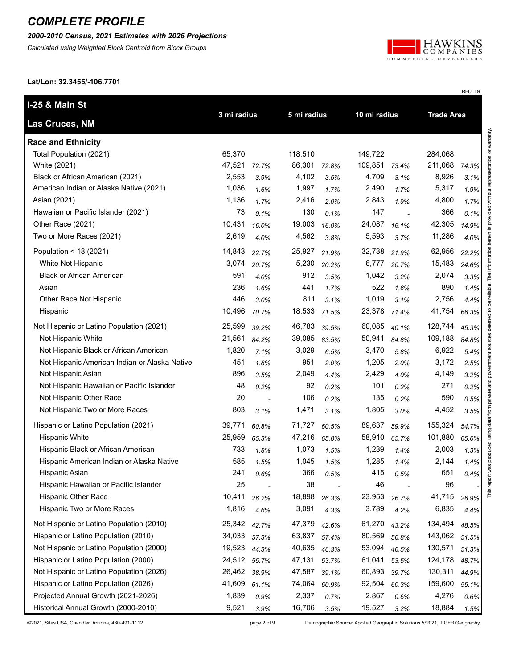*2000-2010 Census, 2021 Estimates with 2026 Projections*

*Calculated using Weighted Block Centroid from Block Groups*



RFULL9

**Lat/Lon: 32.3455/-106.7701**

| I-25 & Main St                                |        | 3 mi radius              |             |       |              |       | <b>Trade Area</b> |       |
|-----------------------------------------------|--------|--------------------------|-------------|-------|--------------|-------|-------------------|-------|
| <b>Las Cruces, NM</b>                         |        |                          | 5 mi radius |       | 10 mi radius |       |                   |       |
| <b>Race and Ethnicity</b>                     |        |                          |             |       |              |       |                   |       |
| Total Population (2021)                       | 65,370 |                          | 118,510     |       | 149,722      |       | 284,068           |       |
| White (2021)                                  | 47,521 | 72.7%                    | 86,301      | 72.8% | 109,851      | 73.4% | 211,068           | 74.3% |
| Black or African American (2021)              | 2,553  | 3.9%                     | 4,102       | 3.5%  | 4,709        | 3.1%  | 8,926             | 3.1%  |
| American Indian or Alaska Native (2021)       | 1,036  | 1.6%                     | 1,997       | 1.7%  | 2,490        | 1.7%  | 5,317             | 1.9%  |
| Asian (2021)                                  | 1,136  | 1.7%                     | 2,416       | 2.0%  | 2,843        | 1.9%  | 4,800             | 1.7%  |
| Hawaiian or Pacific Islander (2021)           | 73     | 0.1%                     | 130         | 0.1%  | 147          |       | 366               | 0.1%  |
| Other Race (2021)                             | 10,431 | 16.0%                    | 19,003      | 16.0% | 24,087       | 16.1% | 42,305            | 14.9% |
| Two or More Races (2021)                      | 2,619  | 4.0%                     | 4,562       | 3.8%  | 5,593        | 3.7%  | 11,286            | 4.0%  |
| Population < $18(2021)$                       | 14,843 | 22.7%                    | 25,927      | 21.9% | 32,738       | 21.9% | 62,956            | 22.2% |
| White Not Hispanic                            | 3,074  | 20.7%                    | 5,230       | 20.2% | 6,777        | 20.7% | 15,483            | 24.6% |
| <b>Black or African American</b>              | 591    | 4.0%                     | 912         | 3.5%  | 1,042        | 3.2%  | 2,074             | 3.3%  |
| Asian                                         | 236    | 1.6%                     | 441         | 1.7%  | 522          | 1.6%  | 890               | 1.4%  |
| Other Race Not Hispanic                       | 446    | 3.0%                     | 811         | 3.1%  | 1,019        | 3.1%  | 2,756             | 4.4%  |
| Hispanic                                      | 10,496 | 70.7%                    | 18,533      | 71.5% | 23,378       | 71.4% | 41,754            | 66.3% |
| Not Hispanic or Latino Population (2021)      | 25,599 | 39.2%                    | 46,783      | 39.5% | 60,085       | 40.1% | 128,744           | 45.3% |
| Not Hispanic White                            | 21,561 | 84.2%                    | 39,085      | 83.5% | 50,941       | 84.8% | 109,188           | 84.8% |
| Not Hispanic Black or African American        | 1,820  | 7.1%                     | 3,029       | 6.5%  | 3,470        | 5.8%  | 6,922             | 5.4%  |
| Not Hispanic American Indian or Alaska Native | 451    | 1.8%                     | 951         | 2.0%  | 1,205        | 2.0%  | 3,172             | 2.5%  |
| Not Hispanic Asian                            | 896    | 3.5%                     | 2,049       | 4.4%  | 2,429        | 4.0%  | 4,149             | 3.2%  |
| Not Hispanic Hawaiian or Pacific Islander     | 48     | 0.2%                     | 92          | 0.2%  | 101          | 0.2%  | 271               | 0.2%  |
| Not Hispanic Other Race                       | 20     | $\overline{\phantom{a}}$ | 106         | 0.2%  | 135          | 0.2%  | 590               | 0.5%  |
| Not Hispanic Two or More Races                | 803    | 3.1%                     | 1,471       | 3.1%  | 1,805        | 3.0%  | 4,452             | 3.5%  |
| Hispanic or Latino Population (2021)          | 39,771 | 60.8%                    | 71,727      | 60.5% | 89,637       | 59.9% | 155,324           | 54.7% |
| <b>Hispanic White</b>                         | 25,959 | 65.3%                    | 47,216      | 65.8% | 58,910       | 65.7% | 101,880           | 65.6% |
| Hispanic Black or African American            | 733    | 1.8%                     | 1,073       | 1.5%  | 1,239        | 1.4%  | 2,003             | 1.3%  |
| Hispanic American Indian or Alaska Native     | 585    | 1.5%                     | 1,045       | 1.5%  | 1,285        | 1.4%  | 2,144             | 1.4%  |
| Hispanic Asian                                | 241    | 0.6%                     | 366         | 0.5%  | 415          | 0.5%  | 651               | 0.4%  |
| Hispanic Hawaiian or Pacific Islander         | 25     |                          | 38          |       | 46           |       | 96                |       |
| Hispanic Other Race                           | 10,411 | 26.2%                    | 18,898      | 26.3% | 23,953       | 26.7% | 41,715            | 26.9% |
| Hispanic Two or More Races                    | 1,816  | 4.6%                     | 3,091       | 4.3%  | 3,789        | 4.2%  | 6,835             | 4.4%  |
| Not Hispanic or Latino Population (2010)      | 25,342 | 42.7%                    | 47,379      | 42.6% | 61,270       | 43.2% | 134,494           | 48.5% |
| Hispanic or Latino Population (2010)          | 34,033 | 57.3%                    | 63,837      | 57.4% | 80,569       | 56.8% | 143,062           | 51.5% |
| Not Hispanic or Latino Population (2000)      | 19,523 | 44.3%                    | 40,635      | 46.3% | 53,094       | 46.5% | 130,571           | 51.3% |
| Hispanic or Latino Population (2000)          | 24,512 | 55.7%                    | 47,131      | 53.7% | 61,041       | 53.5% | 124,178           | 48.7% |
| Not Hispanic or Latino Population (2026)      | 26,462 | 38.9%                    | 47,587      | 39.1% | 60,893       | 39.7% | 130,311           | 44.9% |
| Hispanic or Latino Population (2026)          | 41,609 | 61.1%                    | 74,064      | 60.9% | 92,504       | 60.3% | 159,600           | 55.1% |
| Projected Annual Growth (2021-2026)           | 1,839  | 0.9%                     | 2,337       | 0.7%  | 2,867        | 0.6%  | 4,276             | 0.6%  |
| Historical Annual Growth (2000-2010)          | 9,521  | 3.9%                     | 16,706      | 3.5%  | 19,527       | 3.2%  | 18,884            | 1.5%  |

©2021, Sites USA, Chandler, Arizona, 480-491-1112 page 2 of 9 Demographic Source: Applied Geographic Solutions 5/2021, TIGER Geography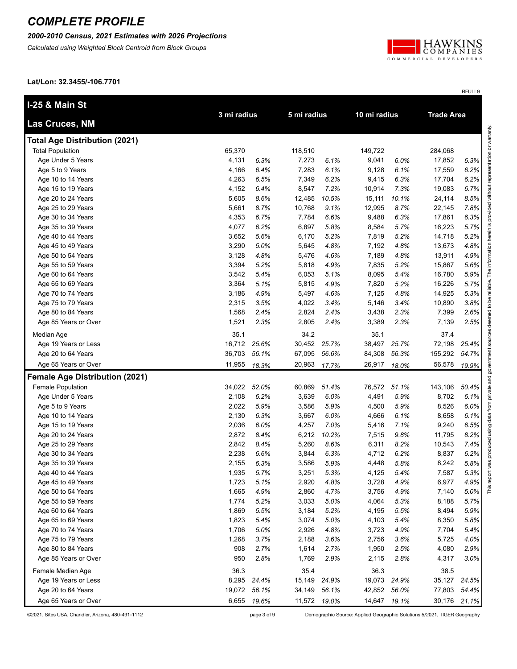*2000-2010 Census, 2021 Estimates with 2026 Projections*

*Calculated using Weighted Block Centroid from Block Groups*



RFULL9

**Lat/Lon: 32.3455/-106.7701**

| <b>I-25 &amp; Main St</b>             | 3 mi radius |       | 5 mi radius |              | 10 mi radius |              | <b>Trade Area</b> |       |
|---------------------------------------|-------------|-------|-------------|--------------|--------------|--------------|-------------------|-------|
| Las Cruces, NM                        |             |       |             |              |              |              |                   |       |
| <b>Total Age Distribution (2021)</b>  |             |       |             |              |              |              |                   |       |
| <b>Total Population</b>               | 65,370      |       | 118,510     |              | 149,722      |              | 284,068           |       |
| Age Under 5 Years                     | 4,131       | 6.3%  | 7,273       | 6.1%         | 9,041        | 6.0%         | 17,852            | 6.3%  |
| Age 5 to 9 Years                      | 4,166       | 6.4%  | 7,283       | 6.1%         | 9,128        | 6.1%         | 17,559            | 6.2%  |
| Age 10 to 14 Years                    | 4,263       | 6.5%  | 7,349       | 6.2%         | 9,415        | 6.3%         | 17,704            | 6.2%  |
| Age 15 to 19 Years                    | 4,152       | 6.4%  | 8,547       | 7.2%         | 10,914       | 7.3%         | 19,083            | 6.7%  |
| Age 20 to 24 Years                    | 5,605       | 8.6%  | 12,485      | 10.5%        | 15,111       | 10.1%        | 24,114            | 8.5%  |
| Age 25 to 29 Years                    | 5,661       | 8.7%  | 10,768      | 9.1%         | 12,995       | 8.7%         | 22,145            | 7.8%  |
| Age 30 to 34 Years                    | 4,353       | 6.7%  | 7,784       | 6.6%         | 9,488        | 6.3%         | 17,861            | 6.3%  |
| Age 35 to 39 Years                    | 4,077       | 6.2%  | 6,897       | 5.8%         | 8,584        | 5.7%         | 16,223            | 5.7%  |
| Age 40 to 44 Years                    | 3,652       | 5.6%  | 6,170       | 5.2%         | 7,819        | 5.2%         | 14,718            | 5.2%  |
| Age 45 to 49 Years                    | 3,290       | 5.0%  | 5,645       | 4.8%         | 7,192        | 4.8%         | 13,673            | 4.8%  |
| Age 50 to 54 Years                    | 3,128       | 4.8%  | 5,476       | 4.6%         | 7,189        | 4.8%         | 13,911            | 4.9%  |
| Age 55 to 59 Years                    | 3,394       | 5.2%  | 5,818       | 4.9%         | 7,835        | 5.2%         | 15,867            | 5.6%  |
| Age 60 to 64 Years                    | 3,542       | 5.4%  | 6,053       | 5.1%         | 8,095        | 5.4%         | 16,780            | 5.9%  |
| Age 65 to 69 Years                    | 3,364       | 5.1%  | 5,815       | 4.9%         | 7,820        | 5.2%         | 16,226            | 5.7%  |
| Age 70 to 74 Years                    | 3,186       | 4.9%  | 5,497       | 4.6%         | 7,125        | 4.8%         | 14,925            | 5.3%  |
| Age 75 to 79 Years                    | 2,315       | 3.5%  | 4,022       | 3.4%         | 5,146        | 3.4%         | 10,890            | 3.8%  |
| Age 80 to 84 Years                    | 1,568       | 2.4%  | 2,824       | 2.4%         | 3,438        | 2.3%         | 7,399             | 2.6%  |
| Age 85 Years or Over                  | 1,521       | 2.3%  | 2,805       | 2.4%         | 3,389        | 2.3%         | 7,139             | 2.5%  |
| Median Age                            | 35.1        |       | 34.2        |              | 35.1         |              | 37.4              |       |
| Age 19 Years or Less                  | 16,712      | 25.6% | 30,452      | 25.7%        | 38,497       | 25.7%        | 72,198            | 25.4% |
| Age 20 to 64 Years                    | 36,703      | 56.1% | 67,095      | 56.6%        | 84,308       | 56.3%        | 155,292           | 54.7% |
| Age 65 Years or Over                  | 11,955      | 18.3% | 20,963      | 17.7%        | 26,917       | 18.0%        | 56,578            | 19.9% |
| <b>Female Age Distribution (2021)</b> |             |       |             |              |              |              |                   |       |
| Female Population                     | 34,022      | 52.0% | 60,869      | 51.4%        | 76,572       | 51.1%        | 143,106           | 50.4% |
| Age Under 5 Years                     | 2,108       | 6.2%  | 3,639       | 6.0%         | 4,491        | 5.9%         | 8,702             | 6.1%  |
| Age 5 to 9 Years                      | 2,022       | 5.9%  | 3,586       | 5.9%         | 4,500        | 5.9%         | 8,526             | 6.0%  |
| Age 10 to 14 Years                    | 2,130       | 6.3%  | 3,667       | 6.0%         | 4,666        | 6.1%         | 8,658             | 6.1%  |
| Age 15 to 19 Years                    | 2,036       | 6.0%  | 4,257       | 7.0%         | 5,416        | 7.1%         | 9,240             | 6.5%  |
| Age 20 to 24 Years                    | 2,872       | 8.4%  | 6,212       | 10.2%        | 7,515        | 9.8%         | 11,795            | 8.2%  |
| Age 25 to 29 Years                    | 2,842       | 8.4%  | 5,260       | 8.6%         | 6,311        | 8.2%         | 10,543            | 7.4%  |
| Age 30 to 34 Years                    | 2,238       | 6.6%  | 3,844       | 6.3%         | 4,712        | 6.2%         | 8,837             | 6.2%  |
| Age 35 to 39 Years                    | 2,155       | 6.3%  | 3,586       | 5.9%         | 4,448        | 5.8%         | 8,242             | 5.8%  |
| Age 40 to 44 Years                    | 1,935       | 5.7%  | 3,251       | 5.3%         | 4,125        | 5.4%         | 7,587             | 5.3%  |
| Age 45 to 49 Years                    | 1,723       | 5.1%  | 2,920       | 4.8%         | 3,728        | 4.9%         | 6,977             | 4.9%  |
| Age 50 to 54 Years                    | 1,665       | 4.9%  | 2,860       | 4.7%         | 3,756        | 4.9%         | 7,140             | 5.0%  |
| Age 55 to 59 Years                    | 1,774       | 5.2%  | 3,033       | 5.0%         | 4,064        | 5.3%         | 8,188             | 5.7%  |
| Age 60 to 64 Years                    | 1,869       | 5.5%  | 3,184       | 5.2%         | 4,195        | 5.5%         | 8,494             | 5.9%  |
| Age 65 to 69 Years                    | 1,823       | 5.4%  | 3,074       | 5.0%         | 4,103        | 5.4%         | 8,350             | 5.8%  |
| Age 70 to 74 Years                    | 1,706       | 5.0%  | 2,926       | 4.8%         | 3,723        | 4.9%         | 7,704             | 5.4%  |
| Age 75 to 79 Years                    | 1,268       | 3.7%  | 2,188       | 3.6%         | 2,756        | 3.6%         | 5,725             | 4.0%  |
| Age 80 to 84 Years                    | 908         | 2.7%  | 1,614       | 2.7%         | 1,950        | 2.5%         | 4,080             | 2.9%  |
| Age 85 Years or Over                  | 950         | 2.8%  | 1,769       | 2.9%         | 2,115        | 2.8%         | 4,317             | 3.0%  |
| Female Median Age                     | 36.3        |       | 35.4        |              | 36.3         |              | 38.5              |       |
| Age 19 Years or Less                  | 8,295       | 24.4% | 15,149      | 24.9%        | 19,073       | 24.9%        | 35,127            | 24.5% |
| Age 20 to 64 Years                    | 19,072      | 56.1% | 34,149      | 56.1%        | 42,852       | 56.0%        | 77,803            | 54.4% |
| Age 65 Years or Over                  | 6,655       | 19.6% |             | 11,572 19.0% |              | 14,647 19.1% | 30,176            | 21.1% |

©2021, Sites USA, Chandler, Arizona, 480-491-1112 page 3 of 9 Demographic Source: Applied Geographic Solutions 5/2021, TIGER Geography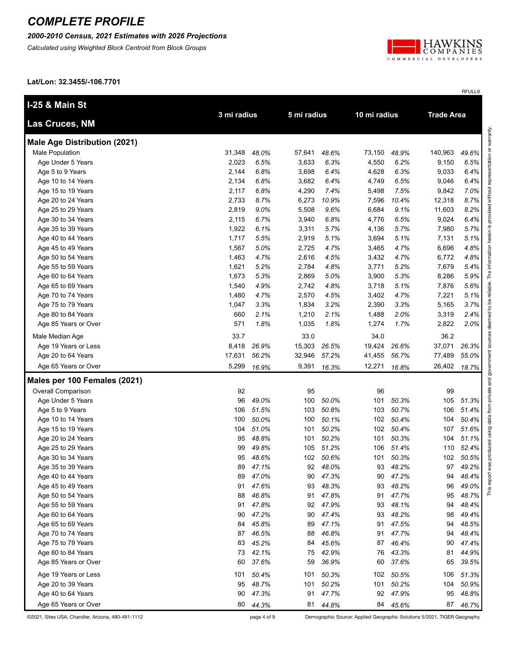*2000-2010 Census, 2021 Estimates with 2026 Projections*

*Calculated using Weighted Block Centroid from Block Groups*



RFULL9

**Lat/Lon: 32.3455/-106.7701**

| I-25 & Main St                      |             |          |        |             | 10 mi radius |       |                   |       |
|-------------------------------------|-------------|----------|--------|-------------|--------------|-------|-------------------|-------|
| Las Cruces, NM                      | 3 mi radius |          |        | 5 mi radius |              |       | <b>Trade Area</b> |       |
| <b>Male Age Distribution (2021)</b> |             |          |        |             |              |       |                   |       |
| Male Population                     | 31,348      | 48.0%    | 57,641 | 48.6%       | 73,150       | 48.9% | 140,963           | 49.6% |
| Age Under 5 Years                   | 2,023       | 6.5%     | 3,633  | 6.3%        | 4,550        | 6.2%  | 9,150             | 6.5%  |
| Age 5 to 9 Years                    | 2,144       | 6.8%     | 3,698  | 6.4%        | 4,628        | 6.3%  | 9,033             | 6.4%  |
| Age 10 to 14 Years                  | 2,134       | 6.8%     | 3,682  | 6.4%        | 4,749        | 6.5%  | 9,046             | 6.4%  |
| Age 15 to 19 Years                  | 2,117       | 6.8%     | 4,290  | 7.4%        | 5,498        | 7.5%  | 9,842             | 7.0%  |
| Age 20 to 24 Years                  | 2,733       | 8.7%     | 6,273  | 10.9%       | 7,596        | 10.4% | 12,318            | 8.7%  |
| Age 25 to 29 Years                  | 2,819       | 9.0%     | 5,508  | 9.6%        | 6,684        | 9.1%  | 11,603            | 8.2%  |
| Age 30 to 34 Years                  | 2,115       | 6.7%     | 3,940  | 6.8%        | 4,776        | 6.5%  | 9,024             | 6.4%  |
| Age 35 to 39 Years                  | 1,922       | 6.1%     | 3,311  | 5.7%        | 4,136        | 5.7%  | 7,980             | 5.7%  |
| Age 40 to 44 Years                  | 1,717       | 5.5%     | 2,919  | 5.1%        | 3,694        | 5.1%  | 7,131             | 5.1%  |
| Age 45 to 49 Years                  | 1,567       | 5.0%     | 2,725  | 4.7%        | 3,465        | 4.7%  | 6,696             | 4.8%  |
| Age 50 to 54 Years                  | 1,463       | 4.7%     | 2,616  | 4.5%        | 3,432        | 4.7%  | 6,772             | 4.8%  |
| Age 55 to 59 Years                  | 1,621       | 5.2%     | 2,784  | 4.8%        | 3,771        | 5.2%  | 7,679             | 5.4%  |
| Age 60 to 64 Years                  | 1,673       | 5.3%     | 2,869  | 5.0%        | 3,900        | 5.3%  | 8,286             | 5.9%  |
| Age 65 to 69 Years                  | 1,540       | 4.9%     | 2,742  | 4.8%        | 3,718        | 5.1%  | 7,876             | 5.6%  |
| Age 70 to 74 Years                  | 1,480       | 4.7%     | 2,570  | 4.5%        | 3,402        | 4.7%  | 7,221             | 5.1%  |
| Age 75 to 79 Years                  | 1,047       | 3.3%     | 1,834  | 3.2%        | 2,390        | 3.3%  | 5,165             | 3.7%  |
| Age 80 to 84 Years                  | 660         | 2.1%     | 1,210  | 2.1%        | 1,488        | 2.0%  | 3,319             | 2.4%  |
| Age 85 Years or Over                | 571         | 1.8%     | 1,035  | 1.8%        | 1,274        | 1.7%  | 2,822             | 2.0%  |
| Male Median Age                     | 33.7        |          | 33.0   |             | 34.0         |       | 36.2              |       |
| Age 19 Years or Less                | 8,418       | 26.9%    | 15,303 | 26.5%       | 19,424       | 26.6% | 37,071            | 26.3% |
| Age 20 to 64 Years                  | 17,631      | 56.2%    | 32,946 | 57.2%       | 41,455       | 56.7% | 77,489            | 55.0% |
| Age 65 Years or Over                | 5,299       | 16.9%    | 9,391  | 16.3%       | 12,271       | 16.8% | 26,402            | 18.7% |
| Males per 100 Females (2021)        |             |          |        |             |              |       |                   |       |
| Overall Comparison                  | 92          |          | 95     |             | 96           |       | 99                |       |
| Age Under 5 Years                   | 96          | 49.0%    | 100    | 50.0%       | 101          | 50.3% | 105               | 51.3% |
| Age 5 to 9 Years                    | 106         | 51.5%    | 103    | 50.8%       | 103          | 50.7% | 106               | 51.4% |
| Age 10 to 14 Years                  | 100         | 50.0%    | 100    | 50.1%       | 102          | 50.4% | 104               | 50.4% |
| Age 15 to 19 Years                  | 104         | 51.0%    | 101    | 50.2%       | 102          | 50.4% | 107               | 51.6% |
| Age 20 to 24 Years                  | 95          | 48.8%    | 101    | 50.2%       | 101          | 50.3% | 104               | 51.1% |
| Age 25 to 29 Years                  | 99          | 49.8%    | 105    | 51.2%       | 106          | 51.4% | 110               | 52.4% |
| Age 30 to 34 Years                  | 95          | 48.6%    | 102    | 50.6%       | 101          | 50.3% | 102               | 50.5% |
| Age 35 to 39 Years                  | 89          | 47.1%    | 92     | 48.0%       | 93           | 48.2% | 97                | 49.2% |
| Age 40 to 44 Years                  |             | 89 47.0% | 90     | 47.3%       | 90           | 47.2% | 94                | 48.4% |
| Age 45 to 49 Years                  | 91          | 47.6%    | 93     | 48.3%       | 93           | 48.2% | 96                | 49.0% |
| Age 50 to 54 Years                  | 88          | 46.8%    | 91     | 47.8%       | 91           | 47.7% | 95                | 48.7% |
| Age 55 to 59 Years                  | 91          | 47.8%    | 92     | 47.9%       | 93           | 48.1% | 94                | 48.4% |
| Age 60 to 64 Years                  | 90          | 47.2%    | 90     | 47.4%       | 93           | 48.2% | 98                | 49.4% |
| Age 65 to 69 Years                  | 84          | 45.8%    | 89     | 47.1%       | 91           | 47.5% | 94                | 48.5% |
| Age 70 to 74 Years                  | 87          | 46.5%    | 88     | 46.8%       | 91           | 47.7% | 94                | 48.4% |
| Age 75 to 79 Years                  | 83          | 45.2%    | 84     | 45.6%       | 87           | 46.4% | 90                | 47.4% |
| Age 80 to 84 Years                  | 73          | 42.1%    | 75     | 42.9%       | 76           | 43.3% | 81                | 44.9% |
| Age 85 Years or Over                | 60          | 37.6%    | 59     | 36.9%       | 60           | 37.6% | 65                | 39.5% |
| Age 19 Years or Less                | 101         | 50.4%    | 101    | 50.3%       | 102          | 50.5% | 106               | 51.3% |
| Age 20 to 39 Years                  | 95          | 48.7%    | 101    | 50.2%       | 101          | 50.2% | 104               | 50.9% |
| Age 40 to 64 Years                  | 90          | 47.3%    | 91     | 47.7%       | 92           | 47.9% | 95                | 48.8% |
| Age 65 Years or Over                | 80          | 44.3%    | 81     | 44.8%       | 84           | 45.6% | 87                | 46.7% |

©2021, Sites USA, Chandler, Arizona, 480-491-1112 page 4 of 9 Demographic Source: Applied Geographic Solutions 5/2021, TIGER Geography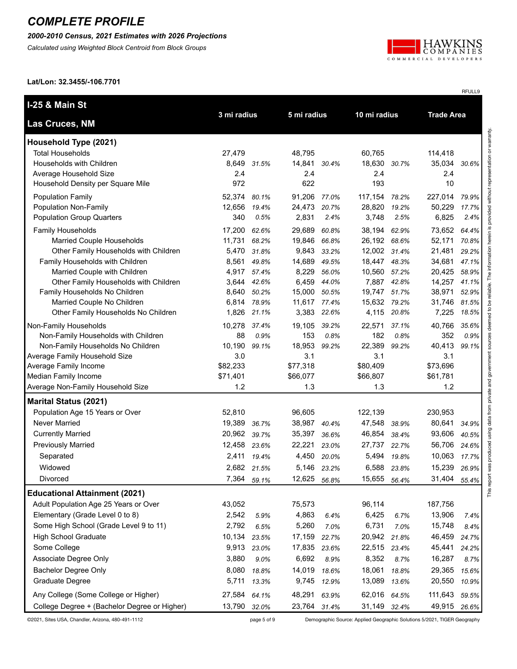*2000-2010 Census, 2021 Estimates with 2026 Projections*

*Calculated using Weighted Block Centroid from Block Groups*



RFULL9

**Lat/Lon: 32.3455/-106.7701**

| <b>I-25 &amp; Main St</b>                    | 3 mi radius<br>5 mi radius |             | 10 mi radius |             |              | <b>Trade Area</b> |              |       |
|----------------------------------------------|----------------------------|-------------|--------------|-------------|--------------|-------------------|--------------|-------|
| Las Cruces, NM                               |                            |             |              |             |              |                   |              |       |
| Household Type (2021)                        |                            |             |              |             |              |                   |              |       |
| <b>Total Households</b>                      | 27,479                     |             | 48,795       |             | 60,765       |                   | 114,418      |       |
| Households with Children                     | 8,649                      | 31.5%       | 14,841 30.4% |             | 18,630       | 30.7%             | 35,034       | 30.6% |
| Average Household Size                       | 2.4                        |             | 2.4          |             | 2.4          |                   | 2.4          |       |
| Household Density per Square Mile            | 972                        |             | 622          |             | 193          |                   | 10           |       |
| <b>Population Family</b>                     | 52,374                     | 80.1%       | 91,206       | 77.0%       | 117,154      | 78.2%             | 227,014      | 79.9% |
| Population Non-Family                        | 12,656                     | 19.4%       | 24,473       | 20.7%       | 28,820       | 19.2%             | 50,229       | 17.7% |
| <b>Population Group Quarters</b>             | 340                        | 0.5%        | 2,831        | 2.4%        | 3,748        | 2.5%              | 6,825        | 2.4%  |
| Family Households                            | 17,200                     | 62.6%       | 29,689       | 60.8%       | 38,194       | 62.9%             | 73,652       | 64.4% |
| Married Couple Households                    | 11,731                     | 68.2%       | 19,846       | 66.8%       | 26,192 68.6% |                   | 52,171       | 70.8% |
| Other Family Households with Children        | 5,470                      | 31.8%       | 9,843        | 33.2%       | 12,002 31.4% |                   | 21,481       | 29.2% |
| Family Households with Children              | 8,561                      | 49.8%       | 14,689       | 49.5%       | 18,447 48.3% |                   | 34,681       | 47.1% |
| Married Couple with Children                 | 4,917                      | 57.4%       | 8,229        | 56.0%       | 10,560       | 57.2%             | 20,425       | 58.9% |
| Other Family Households with Children        | 3,644                      | 42.6%       | 6,459        | 44.0%       |              | 7,887 42.8%       | 14,257       | 41.1% |
| Family Households No Children                | 8,640                      | 50.2%       | 15,000       | 50.5%       | 19,747 51.7% |                   | 38,971       | 52.9% |
| Married Couple No Children                   | 6,814                      | 78.9%       | 11,617 77.4% |             | 15,632 79.2% |                   | 31,746       | 81.5% |
| Other Family Households No Children          | 1,826                      | 21.1%       | 3,383        | 22.6%       | 4,115        | 20.8%             | 7,225        | 18.5% |
| Non-Family Households                        | 10,278                     | 37.4%       | 19,105       | 39.2%       | 22,571       | 37.1%             | 40,766       | 35.6% |
| Non-Family Households with Children          | 88                         | 0.9%        | 153          | 0.8%        | 182          | 0.8%              | 352          | 0.9%  |
| Non-Family Households No Children            | 10,190                     | 99.1%       | 18,953       | 99.2%       | 22,389       | 99.2%             | 40,413       | 99.1% |
| Average Family Household Size                | 3.0                        |             | 3.1          |             | 3.1          |                   | 3.1          |       |
| Average Family Income                        | \$82,233                   |             | \$77,318     |             | \$80,409     |                   | \$73,696     |       |
| Median Family Income                         | \$71,401                   |             | \$66,077     |             | \$66,807     |                   | \$61,781     |       |
| Average Non-Family Household Size            | 1.2                        |             | 1.3          |             | 1.3          |                   | 1.2          |       |
| <b>Marital Status (2021)</b>                 |                            |             |              |             |              |                   |              |       |
| Population Age 15 Years or Over              | 52,810                     |             | 96,605       |             | 122,139      |                   | 230,953      |       |
| <b>Never Married</b>                         | 19,389                     | 36.7%       | 38,987       | 40.4%       | 47,548       | 38.9%             | 80,641       | 34.9% |
| <b>Currently Married</b>                     | 20,962                     | 39.7%       | 35,397       | 36.6%       | 46,854       | 38.4%             | 93,606       | 40.5% |
| <b>Previously Married</b>                    | 12,458                     | 23.6%       | 22,221       | 23.0%       | 27,737       | 22.7%             | 56,706       | 24.6% |
| Separated                                    | 2,411                      | 19.4%       | 4,450        | 20.0%       | 5,494        | 19.8%             | 10,063       | 17.7% |
| Widowed                                      | 2,682 21.5%                |             |              | 5,146 23.2% | 6,588        | 23.8%             | 15,239       | 26.9% |
| Divorced                                     |                            | 7,364 59.1% | 12,625 56.8% |             | 15,655 56.4% |                   | 31,404 55.4% |       |
| <b>Educational Attainment (2021)</b>         |                            |             |              |             |              |                   |              |       |
| Adult Population Age 25 Years or Over        | 43,052                     |             | 75,573       |             | 96,114       |                   | 187,756      |       |
| Elementary (Grade Level 0 to 8)              | 2,542                      | 5.9%        | 4,863        | 6.4%        | 6,425        | 6.7%              | 13,906       | 7.4%  |
| Some High School (Grade Level 9 to 11)       | 2,792                      | 6.5%        | 5,260        | 7.0%        | 6,731        | 7.0%              | 15,748       | 8.4%  |
| <b>High School Graduate</b>                  | 10,134                     | 23.5%       | 17,159       | 22.7%       | 20,942       | 21.8%             | 46,459       | 24.7% |
| Some College                                 | 9,913                      | 23.0%       | 17,835       | 23.6%       | 22,515       | 23.4%             | 45,441       | 24.2% |
| Associate Degree Only                        | 3,880                      | 9.0%        | 6,692        | 8.9%        | 8,352        | 8.7%              | 16,287       | 8.7%  |
| <b>Bachelor Degree Only</b>                  | 8,080                      | 18.8%       | 14,019       | 18.6%       | 18,061       | 18.8%             | 29,365       | 15.6% |
| Graduate Degree                              | 5,711                      | 13.3%       | 9,745        | 12.9%       | 13,089       | 13.6%             | 20,550       | 10.9% |
| Any College (Some College or Higher)         | 27,584                     | 64.1%       | 48,291       | 63.9%       | 62,016       | 64.5%             | 111,643      | 59.5% |
| College Degree + (Bachelor Degree or Higher) | 13,790                     |             | 23,764 31.4% |             | 31,149 32.4% |                   | 49,915       |       |
|                                              |                            | 32.0%       |              |             |              |                   |              | 26.6% |

©2021, Sites USA, Chandler, Arizona, 480-491-1112 page 5 of 9 Demographic Source: Applied Geographic Solutions 5/2021, TIGER Geography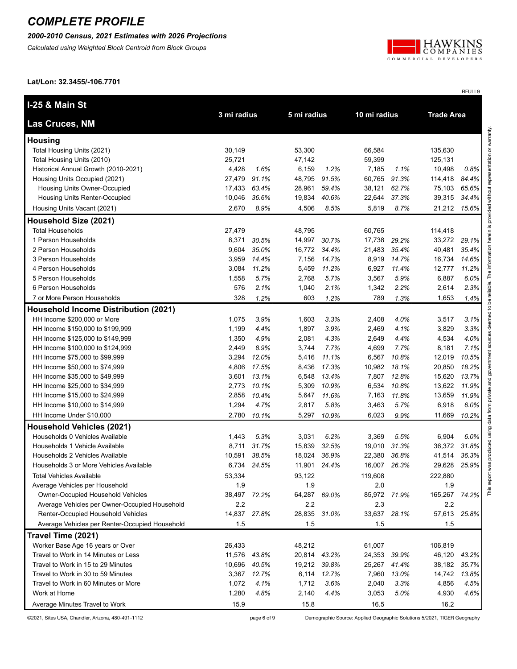*2000-2010 Census, 2021 Estimates with 2026 Projections*

*Calculated using Weighted Block Centroid from Block Groups*



RFULL9

**Lat/Lon: 32.3455/-106.7701**

| <b>I-25 &amp; Main St</b>                      |             |              |              |              |              |       |                   |       |
|------------------------------------------------|-------------|--------------|--------------|--------------|--------------|-------|-------------------|-------|
| Las Cruces, NM                                 | 3 mi radius |              | 5 mi radius  |              | 10 mi radius |       | <b>Trade Area</b> |       |
| <b>Housing</b>                                 |             |              |              |              |              |       |                   |       |
| Total Housing Units (2021)                     | 30,149      |              | 53,300       |              | 66,584       |       | 135,630           |       |
| Total Housing Units (2010)                     | 25,721      |              | 47,142       |              | 59,399       |       | 125,131           |       |
| Historical Annual Growth (2010-2021)           | 4,428       | 1.6%         | 6,159        | 1.2%         | 7,185        | 1.1%  | 10,498            | 0.8%  |
| Housing Units Occupied (2021)                  | 27,479      | 91.1%        | 48,795       | 91.5%        | 60,765       | 91.3% | 114,418           | 84.4% |
| Housing Units Owner-Occupied                   | 17,433      | 63.4%        | 28,961       | 59.4%        | 38,121       | 62.7% | 75,103            | 65.6% |
| Housing Units Renter-Occupied                  | 10,046      | 36.6%        | 19,834       | 40.6%        | 22,644       | 37.3% | 39,315            | 34.4% |
| Housing Units Vacant (2021)                    | 2,670       | 8.9%         | 4,506        | 8.5%         | 5,819        | 8.7%  | 21,212            | 15.6% |
| Household Size (2021)                          |             |              |              |              |              |       |                   |       |
| <b>Total Households</b>                        | 27,479      |              | 48,795       |              | 60,765       |       | 114,418           |       |
| 1 Person Households                            | 8,371       | 30.5%        | 14,997       | 30.7%        | 17,738       | 29.2% | 33,272            | 29.1% |
| 2 Person Households                            | 9,604       | 35.0%        | 16,772       | 34.4%        | 21,483       | 35.4% | 40,481            | 35.4% |
| 3 Person Households                            | 3,959       | 14.4%        | 7,156        | 14.7%        | 8,919        | 14.7% | 16,734            | 14.6% |
| 4 Person Households                            | 3,084       | 11.2%        | 5,459        | 11.2%        | 6,927        | 11.4% | 12,777            | 11.2% |
| 5 Person Households                            | 1,558       | 5.7%         | 2,768        | 5.7%         | 3,567        | 5.9%  | 6,887             | 6.0%  |
| 6 Person Households                            | 576         | 2.1%         | 1,040        | 2.1%         | 1,342        | 2.2%  | 2,614             | 2.3%  |
| 7 or More Person Households                    | 328         | 1.2%         | 603          | 1.2%         | 789          | 1.3%  | 1,653             | 1.4%  |
| <b>Household Income Distribution (2021)</b>    |             |              |              |              |              |       |                   |       |
| HH Income \$200,000 or More                    | 1,075       | 3.9%         | 1,603        | 3.3%         | 2,408        | 4.0%  | 3,517             | 3.1%  |
| HH Income \$150,000 to \$199,999               | 1,199       | 4.4%         | 1,897        | 3.9%         | 2,469        | 4.1%  | 3,829             | 3.3%  |
| HH Income \$125,000 to \$149,999               | 1,350       | 4.9%         | 2,081        | 4.3%         | 2,649        | 4.4%  | 4,534             | 4.0%  |
| HH Income \$100,000 to \$124,999               | 2,449       | 8.9%         | 3,744        | 7.7%         | 4,699        | 7.7%  | 8,181             | 7.1%  |
| HH Income \$75,000 to \$99,999                 | 3,294       | 12.0%        | 5,416        | 11.1%        | 6,567        | 10.8% | 12,019            | 10.5% |
| HH Income \$50,000 to \$74,999                 | 4,806       | 17.5%        | 8,436        | 17.3%        | 10,982       | 18.1% | 20,850            | 18.2% |
| HH Income \$35,000 to \$49,999                 | 3,601       | 13.1%        | 6,548        | 13.4%        | 7,807        | 12.8% | 15,620            | 13.7% |
| HH Income \$25,000 to \$34,999                 | 2,773       | 10.1%        | 5,309        | 10.9%        | 6,534        | 10.8% | 13,622            | 11.9% |
| HH Income \$15,000 to \$24,999                 | 2,858       | 10.4%        | 5,647        | 11.6%        | 7,163        | 11.8% | 13,659            | 11.9% |
| HH Income \$10,000 to \$14,999                 | 1,294       | 4.7%         | 2,817        | 5.8%         | 3,463        | 5.7%  | 6,918             | 6.0%  |
| HH Income Under \$10,000                       | 2,780       | 10.1%        | 5,297        | 10.9%        | 6,023        | 9.9%  | 11,669            | 10.2% |
| <b>Household Vehicles (2021)</b>               |             |              |              |              |              |       |                   |       |
| Households 0 Vehicles Available                | 1,443       | 5.3%         | 3,031        | 6.2%         | 3,369        | 5.5%  | 6,904             | 6.0%  |
| Households 1 Vehicle Available                 | 8,711       | 31.7%        | 15,839       | 32.5%        | 19,010       | 31.3% | 36,372            | 31.8% |
| Households 2 Vehicles Available                | 10,591      | 38.5%        | 18,024       | 36.9%        | 22,380       | 36.8% | 41,514            | 36.3% |
| Households 3 or More Vehicles Available        | 6,734       | 24.5%        | 11,901       | 24.4%        | 16,007       | 26.3% | 29,628            | 25.9% |
| <b>Total Vehicles Available</b>                | 53,334      |              | 93,122       |              | 119,608      |       | 222,880           |       |
| Average Vehicles per Household                 | 1.9         |              | 1.9          |              | 2.0          |       | 1.9               |       |
| Owner-Occupied Household Vehicles              | 38,497      | 72.2%        | 64,287 69.0% |              | 85,972 71.9% |       | 165,267           | 74.2% |
| Average Vehicles per Owner-Occupied Household  | 2.2         |              | 2.2          |              | 2.3          |       | 2.2               |       |
| Renter-Occupied Household Vehicles             | 14,837      | 27.8%        | 28,835       | 31.0%        | 33,637       | 28.1% | 57,613            | 25.8% |
| Average Vehicles per Renter-Occupied Household | 1.5         |              | 1.5          |              | 1.5          |       | 1.5               |       |
| Travel Time (2021)                             |             |              |              |              |              |       |                   |       |
| Worker Base Age 16 years or Over               | 26,433      |              | 48,212       |              | 61,007       |       | 106,819           |       |
| Travel to Work in 14 Minutes or Less           |             | 11,576 43.8% | 20,814 43.2% |              | 24,353       | 39.9% | 46,120            | 43.2% |
| Travel to Work in 15 to 29 Minutes             | 10,696      | 40.5%        |              | 19,212 39.8% | 25,267       | 41.4% | 38,182            | 35.7% |
| Travel to Work in 30 to 59 Minutes             | 3,367       | 12.7%        | 6,114        | 12.7%        | 7,960        | 13.0% | 14,742            | 13.8% |
| Travel to Work in 60 Minutes or More           | 1,072       | 4.1%         | 1,712        | 3.6%         | 2,040        | 3.3%  | 4,856             | 4.5%  |
| Work at Home                                   | 1,280       | 4.8%         | 2,140        | 4.4%         | 3,053        | 5.0%  | 4,930             | 4.6%  |
| Average Minutes Travel to Work                 | 15.9        |              | 15.8         |              | 16.5         |       | 16.2              |       |

©2021, Sites USA, Chandler, Arizona, 480-491-1112 page 6 of 9 Demographic Source: Applied Geographic Solutions 5/2021, TIGER Geography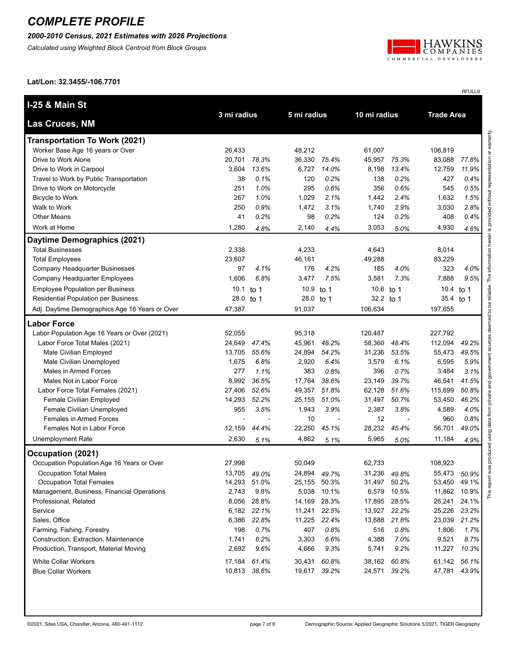#### *2000-2010 Census, 2021 Estimates with 2026 Projections*

*Calculated using Weighted Block Centroid from Block Groups*



RFULL9

**Lat/Lon: 32.3455/-106.7701**

| <b>I-25 &amp; Main St</b>                      | 3 mi radius<br>5 mi radius |              | 10 mi radius |              | <b>Trade Area</b> |              |           |              |
|------------------------------------------------|----------------------------|--------------|--------------|--------------|-------------------|--------------|-----------|--------------|
| Las Cruces, NM                                 |                            |              |              |              |                   |              |           |              |
| <b>Transportation To Work (2021)</b>           |                            |              |              |              |                   |              |           |              |
| Worker Base Age 16 years or Over               | 26,433                     |              | 48,212       |              | 61,007            |              | 106,819   |              |
| Drive to Work Alone                            | 20,701                     | 78.3%        | 36,330       | 75.4%        | 45,957            | 75.3%        | 83,088    | 77.8%        |
| Drive to Work in Carpool                       | 3,604                      | 13.6%        | 6,727        | 14.0%        | 8,198             | 13.4%        | 12,759    | 11.9%        |
| Travel to Work by Public Transportation        | 38                         | 0.1%         | 120          | 0.2%         | 138               | 0.2%         | 427       | 0.4%         |
| Drive to Work on Motorcycle                    | 251                        | 1.0%         | 295          | 0.6%         | 356               | 0.6%         | 545       | 0.5%         |
| <b>Bicycle to Work</b>                         | 267                        | 1.0%         | 1,029        | 2.1%         | 1,442             | 2.4%         | 1,632     | 1.5%         |
| Walk to Work                                   | 250                        | 0.9%         | 1,472        | 3.1%         | 1,740             | 2.9%         | 3,030     | 2.8%         |
| <b>Other Means</b>                             | 41                         | 0.2%         | 98           | 0.2%         | 124               | 0.2%         | 408       | 0.4%         |
| Work at Home                                   | 1,280                      | 4.8%         | 2,140        | 4.4%         | 3,053             | 5.0%         | 4,930     | 4.6%         |
| Daytime Demographics (2021)                    |                            |              |              |              |                   |              |           |              |
| <b>Total Businesses</b>                        | 2,338                      |              | 4,233        |              | 4,643             |              | 8,014     |              |
| <b>Total Employees</b>                         | 23,607                     |              | 46,161       |              | 49,288            |              | 83,229    |              |
| Company Headquarter Businesses                 | 97                         | 4.1%         | 176          | 4.2%         | 185               | 4.0%         | 323       | 4.0%         |
| Company Headquarter Employees                  | 1,606                      | 6.8%         | 3,477        | 7.5%         | 3,581             | 7.3%         | 7,888     | 9.5%         |
| <b>Employee Population per Business</b>        | 10.1                       | to 1         | 10.9         | to 1         | 10.6 to 1         |              | 10.4      | to 1         |
| Residential Population per Business            | 28.0                       | to 1         | 28.0         | to $1$       | 32.2 to 1         |              | 35.4 to 1 |              |
| Adj. Daytime Demographics Age 16 Years or Over | 47,387                     |              | 91,037       |              | 106,634           |              | 197,655   |              |
| <b>Labor Force</b>                             |                            |              |              |              |                   |              |           |              |
| Labor Population Age 16 Years or Over (2021)   | 52,055                     |              | 95,318       |              | 120,487           |              | 227,792   |              |
| Labor Force Total Males (2021)                 | 24,649                     | 47.4%        | 45,961       | 48.2%        | 58,360            | 48.4%        | 112,094   | 49.2%        |
| Male Civilian Employed                         | 13,705                     | 55.6%        | 24,894       | 54.2%        | 31,236            | 53.5%        | 55,473    | 49.5%        |
| Male Civilian Unemployed                       | 1,675                      | 6.8%         | 2,920        | 6.4%         | 3,579             | 6.1%         | 6,595     | 5.9%         |
| Males in Armed Forces                          | 277                        | 1.1%         | 383          | 0.8%         | 396               | 0.7%         | 3,484     | 3.1%         |
| Males Not in Labor Force                       | 8,992                      | 36.5%        | 17,764       | 38.6%        | 23,149            | 39.7%        | 46,541    | 41.5%        |
| Labor Force Total Females (2021)               | 27,406                     | 52.6%        | 49,357       | 51.8%        | 62,128            | 51.6%        | 115,699   | 50.8%        |
| Female Civilian Employed                       | 14,293                     | 52.2%        | 25,155       | 51.0%        | 31,497            | 50.7%        | 53,450    | 46.2%        |
| Female Civilian Unemployed                     | 955                        | 3.5%         | 1,943        | 3.9%         | 2,387             | 3.8%         | 4,589     | 4.0%         |
| Females in Armed Forces                        | $\blacksquare$             |              | 10           | Ĭ.           | 12                |              | 960       | 0.8%         |
| Females Not in Labor Force                     | 12,159                     | 44.4%        | 22,250       | 45.1%        | 28,232            | 45.4%        | 56,701    | 49.0%        |
| <b>Unemployment Rate</b>                       | 2,630                      | 5.1%         | 4,862        | 5.1%         | 5,965             | 5.0%         | 11,184    | 4.9%         |
| Occupation (2021)                              |                            |              |              |              |                   |              |           |              |
| Occupation Population Age 16 Years or Over     | 27,998                     |              | 50,049       |              | 62,733            |              | 108,923   |              |
| <b>Occupation Total Males</b>                  |                            | 13,705 49.0% | 24,894       | 49.7%        |                   | 31,236 49.8% | 55,473    | 50.9%        |
| Occupation Total Females                       |                            | 14,293 51.0% |              | 25,155 50.3% |                   | 31,497 50.2% |           | 53,450 49.1% |
| Management, Business, Financial Operations     | 2,743                      | 9.8%         | 5,038        | 10.1%        |                   | 6,579 10.5%  | 11,862    | 10.9%        |
| Professional, Related                          | 8,056                      | 28.8%        |              | 14,169 28.3% |                   | 17,895 28.5% | 26,241    | 24.1%        |
| Service                                        |                            | 6,182 22.1%  |              | 11,241 22.5% |                   | 13,927 22.2% | 25,226    | 23.2%        |
| Sales, Office                                  | 6,386                      | 22.8%        |              | 11,225 22.4% | 13,688            | 21.8%        | 23,039    | 21.2%        |
| Farming, Fishing, Forestry                     | 198                        | 0.7%         | 407          | 0.8%         | 516               | 0.8%         | 1,806     | 1.7%         |
| Construction, Extraction, Maintenance          | 1,741                      | 6.2%         | 3,303        | 6.6%         | 4,388             | 7.0%         | 9,521     | 8.7%         |
| Production, Transport, Material Moving         | 2,692                      | 9.6%         | 4,666        | 9.3%         | 5,741             | 9.2%         | 11,227    | 10.3%        |
| <b>White Collar Workers</b>                    | 17,184                     | 61.4%        | 30,431       | 60.8%        |                   | 38,162 60.8% | 61,142    | 56.1%        |
| <b>Blue Collar Workers</b>                     |                            | 10,813 38.6% |              | 19,617 39.2% |                   | 24,571 39.2% | 47,781    | 43.9%        |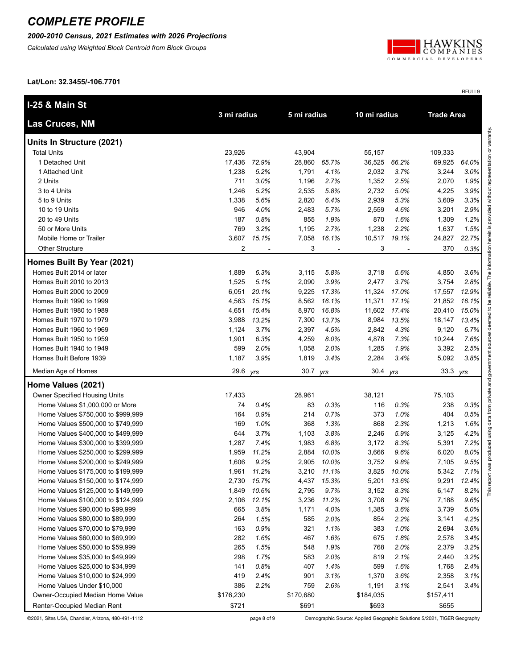*2000-2010 Census, 2021 Estimates with 2026 Projections*

*Calculated using Weighted Block Centroid from Block Groups*



RFULL9

**Lat/Lon: 32.3455/-106.7701**

| I-25 & Main St                     |             |       |           |             |           |              |           |                   |  |
|------------------------------------|-------------|-------|-----------|-------------|-----------|--------------|-----------|-------------------|--|
| <b>Las Cruces, NM</b>              | 3 mi radius |       |           | 5 mi radius |           | 10 mi radius |           | <b>Trade Area</b> |  |
| Units In Structure (2021)          |             |       |           |             |           |              |           |                   |  |
| <b>Total Units</b>                 | 23,926      |       | 43,904    |             | 55,157    |              | 109,333   |                   |  |
| 1 Detached Unit                    | 17,436      | 72.9% | 28,860    | 65.7%       | 36,525    | 66.2%        | 69,925    | 64.0%             |  |
| 1 Attached Unit                    | 1,238       | 5.2%  | 1,791     | 4.1%        | 2,032     | 3.7%         | 3,244     | 3.0%              |  |
| 2 Units                            | 711         | 3.0%  | 1,196     | 2.7%        | 1,352     | 2.5%         | 2,070     | 1.9%              |  |
| 3 to 4 Units                       | 1,246       | 5.2%  | 2,535     | 5.8%        | 2,732     | 5.0%         | 4,225     | 3.9%              |  |
| 5 to 9 Units                       | 1,338       | 5.6%  | 2,820     | 6.4%        | 2,939     | 5.3%         | 3,609     | 3.3%              |  |
| 10 to 19 Units                     | 946         | 4.0%  | 2,483     | 5.7%        | 2,559     | 4.6%         | 3,201     | 2.9%              |  |
| 20 to 49 Units                     | 187         | 0.8%  | 855       | 1.9%        | 870       | 1.6%         | 1,309     | 1.2%              |  |
| 50 or More Units                   | 769         | 3.2%  | 1,195     | 2.7%        | 1,238     | 2.2%         | 1,637     | 1.5%              |  |
| Mobile Home or Trailer             | 3,607       | 15.1% | 7,058     | 16.1%       | 10,517    | 19.1%        | 24,827    | 22.7%             |  |
| <b>Other Structure</b>             | 2           |       | 3         |             | 3         |              | 370       | 0.3%              |  |
| Homes Built By Year (2021)         |             |       |           |             |           |              |           |                   |  |
| Homes Built 2014 or later          | 1,889       | 6.3%  | 3,115     | 5.8%        | 3,718     | 5.6%         | 4,850     | 3.6%              |  |
| Homes Built 2010 to 2013           | 1,525       | 5.1%  | 2,090     | 3.9%        | 2,477     | 3.7%         | 3,754     | 2.8%              |  |
| Homes Built 2000 to 2009           | 6,051       | 20.1% | 9,225     | 17.3%       | 11,324    | 17.0%        | 17,557    | 12.9%             |  |
| Homes Built 1990 to 1999           | 4,563       | 15.1% | 8,562     | 16.1%       | 11,371    | 17.1%        | 21,852    | 16.1%             |  |
| Homes Built 1980 to 1989           | 4,651       | 15.4% | 8,970     | 16.8%       | 11,602    | 17.4%        | 20,410    | 15.0%             |  |
| Homes Built 1970 to 1979           | 3,988       | 13.2% | 7,300     | 13.7%       | 8,984     | 13.5%        | 18,147    | 13.4%             |  |
| Homes Built 1960 to 1969           | 1,124       | 3.7%  | 2,397     | 4.5%        | 2,842     | 4.3%         | 9,120     | 6.7%              |  |
| Homes Built 1950 to 1959           | 1,901       | 6.3%  | 4,259     | 8.0%        | 4,878     | 7.3%         | 10,244    | 7.6%              |  |
| Homes Built 1940 to 1949           | 599         | 2.0%  | 1,058     | 2.0%        | 1,285     | 1.9%         | 3,392     | 2.5%              |  |
| Homes Built Before 1939            | 1,187       | 3.9%  | 1,819     | 3.4%        | 2,284     | 3.4%         | 5,092     | 3.8%              |  |
| Median Age of Homes                | 29.6        | yrs   | 30.7      | yrs         | 30.4      | yrs          | 33.3      | yrs               |  |
| Home Values (2021)                 |             |       |           |             |           |              |           |                   |  |
| Owner Specified Housing Units      | 17,433      |       | 28,961    |             | 38,121    |              | 75,103    |                   |  |
| Home Values \$1,000,000 or More    | 74          | 0.4%  | 83        | 0.3%        | 116       | 0.3%         | 238       | 0.3%              |  |
| Home Values \$750,000 to \$999,999 | 164         | 0.9%  | 214       | 0.7%        | 373       | 1.0%         | 404       | 0.5%              |  |
| Home Values \$500,000 to \$749,999 | 169         | 1.0%  | 368       | 1.3%        | 868       | 2.3%         | 1,213     | 1.6%              |  |
| Home Values \$400,000 to \$499,999 | 644         | 3.7%  | 1,103     | 3.8%        | 2,246     | 5.9%         | 3,125     | 4.2%              |  |
| Home Values \$300,000 to \$399,999 | 1,287       | 7.4%  | 1,983     | 6.8%        | 3,172     | 8.3%         | 5,391     | 7.2%              |  |
| Home Values \$250,000 to \$299,999 | 1,959       | 11.2% | 2,884     | 10.0%       | 3,666     | 9.6%         | 6,020     | 8.0%              |  |
| Home Values \$200,000 to \$249,999 | 1,606       | 9.2%  | 2,905     | 10.0%       | 3,752     | 9.8%         | 7,105     | 9.5%              |  |
| Home Values \$175,000 to \$199,999 | 1,961       | 11.2% | 3,210     | 11.1%       | 3,825     | 10.0%        | 5,342     | 7.1%              |  |
| Home Values \$150,000 to \$174,999 | 2,730       | 15.7% | 4,437     | 15.3%       |           | 5,201 13.6%  | 9,291     | 12.4%             |  |
| Home Values \$125,000 to \$149,999 | 1,849       | 10.6% | 2,795     | 9.7%        | 3,152     | 8.3%         | 6,147     | 8.2%              |  |
| Home Values \$100,000 to \$124,999 | 2,106       | 12.1% | 3,236     | 11.2%       | 3,708     | 9.7%         | 7,188     | 9.6%              |  |
| Home Values \$90,000 to \$99,999   | 665         | 3.8%  | 1,171     | 4.0%        | 1,385     | 3.6%         | 3,739     | 5.0%              |  |
| Home Values \$80,000 to \$89,999   | 264         | 1.5%  | 585       | 2.0%        | 854       | 2.2%         | 3,141     | 4.2%              |  |
| Home Values \$70,000 to \$79,999   | 163         | 0.9%  | 321       | 1.1%        | 383       | 1.0%         | 2,694     | 3.6%              |  |
| Home Values \$60,000 to \$69,999   | 282         | 1.6%  | 467       | 1.6%        | 675       | 1.8%         | 2,578     | 3.4%              |  |
| Home Values \$50,000 to \$59,999   | 265         | 1.5%  | 548       | 1.9%        | 768       | 2.0%         | 2,379     | 3.2%              |  |
| Home Values \$35,000 to \$49,999   | 298         | 1.7%  | 583       | 2.0%        | 819       | 2.1%         | 2,440     | 3.2%              |  |
| Home Values \$25,000 to \$34,999   | 141         | 0.8%  | 407       | 1.4%        | 599       | 1.6%         | 1,768     | 2.4%              |  |
| Home Values \$10,000 to \$24,999   | 419         | 2.4%  | 901       | 3.1%        | 1,370     | 3.6%         | 2,358     | 3.1%              |  |
| Home Values Under \$10,000         | 386         | 2.2%  | 759       | 2.6%        | 1,191     | 3.1%         | 2,541     | 3.4%              |  |
| Owner-Occupied Median Home Value   | \$176,230   |       | \$170,680 |             | \$184,035 |              | \$157,411 |                   |  |
| Renter-Occupied Median Rent        | \$721       |       | \$691     |             | \$693     |              | \$655     |                   |  |

©2021, Sites USA, Chandler, Arizona, 480-491-1112 page 8 of 9 Demographic Source: Applied Geographic Solutions 5/2021, TIGER Geography